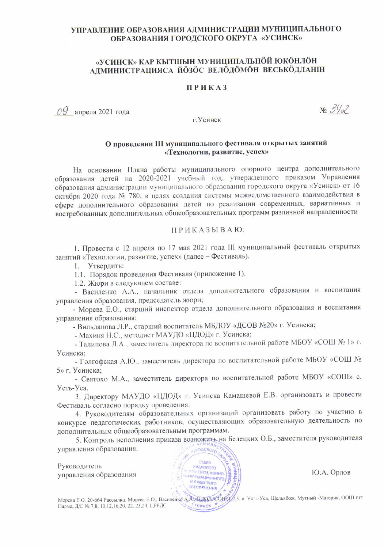## УПРАВЛЕНИЕ ОБРАЗОВАНИЯ АДМИНИСТРАЦИИ МУНИЦИПАЛЬНОГО ОБРАЗОВАНИЯ ГОРОДСКОГО ОКРУГА «УСИНСК»

# «УСИНСК» КАР КЫТШЫН МУНИЦИПАЛЬНÖЙ ЮКÖНЛÖН АДМИНИСТРАЦИЯСА ЙОЗОС ВЕЛОДОМОН ВЕСЬКОДЛАНІН

#### **ПРИКАЗ**

 $OQ$  апреля 2021 года

 $N_2 \frac{3}{32}$ 

г. Усинск

#### О проведении III муниципального фестиваля открытых занятий «Технологии, развитие, успех»

На основании Плана работы муниципального опорного центра дополнительного образования детей на 2020-2021 учебный год, утвержденного приказом Управления образования администрации муниципального образования городского округа «Усинск» от 16 октября 2020 года № 780, в целях создания системы межведомственного взаимодействия в сфере дополнительного образования детей по реализации современных, вариативных и востребованных дополнительных общеобразовательных программ различной направленности

#### ПРИКАЗЫВАЮ:

1. Провести с 12 апреля по 17 мая 2021 года III муниципальный фестиваль открытых занятий «Технологии, развитие, успех» (далее - Фестиваль).

1. Утвердить:

1.1. Порядок проведения Фестиваля (приложение 1).

1.2. Жюри в следующем составе:

- Василенко А.А., начальник отдела дополнительного образования и воспитания управления образования, председатель жюри;

- Морева Е.О., старший инспектор отдела дополнительного образования и воспитания управления образования:

- Вильданова Л.Р., старший воспитатель МБДОУ «ДСОВ №20» г. Усинска;

- Махиня Н.С., методист МАУДО «ЦДОД» г. Усинска;

- Талипова Л.А., заместитель директора по воспитательной работе МБОУ «СОШ № 1» г. Усинска:

- Голгофская А.Ю., заместитель директора по воспитательной работе МБОУ «СОШ № 5» г. Усинска;

- Святохо М.А., заместитель директора по воспитательной работе МБОУ «СОШ» с. Усть-Уса.

3. Директору МАУДО «ЦДОД» г. Усинска Камашевой Е.В. организовать и провести Фестиваль согласно порядку проведения.

4. Руководителям образовательных организаций организовать работу по участию в конкурсе педагогических работников, осуществляющих образовательную деятельность по дополнительным общеобразовательным программам.

5. Контроль исполнения приказа возложить на Белецких О.Б., заместителя руководителя управления образования. **GPOACKORD** 

Руководитель управления образования



Ю.А. Орлов

Парма, Д/С № 7,8, 10,12,16,20, 22, 23,24, ЦРРДС

Морева Е.О. 20-664 Рассылка: Морева Е.О., Василенко А. Альционко Онтуд.5, с. Усть-Уса, Щельябож, Мутный -Материк, ООШ пгт POHHOK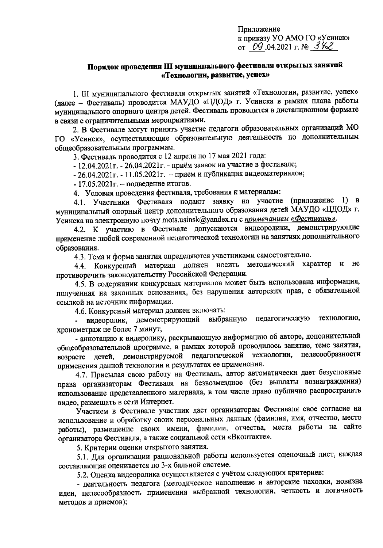# Порядок проведения III муниципального фестиваля открытых занятий «Технологии, развитие, успех»

1. III муниципального фестиваля открытых занятий «Технологии, развитие, успех» (далее - Фестиваль) проводится МАУДО «ЦДОД» г. Усинска в рамках плана работы муниципального опорного центра детей. Фестиваль проводится в дистанционном формате в связи с ограничительными мероприятиями.

2. В Фестивале могут принять участие педагоги образовательных организаций МО ГО «Усинск», осуществляющие образовательную деятельность по дополнительным общеобразовательным программам.

3. Фестиваль проводится с 12 апреля по 17 мая 2021 года:

- 12.04.2021г. - 26.04.2021г. - приём заявок на участие в фестивале;

- 26.04.2021 г. - 11.05.2021 г. – прием и публикация видеоматериалов;

 $-17.05.2021$ г. - подведение итогов.

4. Условия проведения фестиваля, требования к материалам:

4.1. Участники Фестиваля подают заявку на участие (приложение 1) в муниципальный опорный центр дополнительного образования детей МАУДО «ЦДОД» г. Усинска на электронную почту mots.usinsk@yandex.ru с примечанием «Фестиваль».

4.2. К участию в Фестивале допускаются видеоролики, демонстрирующие применение любой современной педагогической технологии на занятиях дополнительного образования.

4.3. Тема и форма занятия определяются участниками самостоятельно.

4.4. Конкурсный материал должен носить методический характер  $\boldsymbol{\mathsf{M}}$ He противоречить законодательству Российской Федерации.

4.5. В содержании конкурсных материалов может быть использована информация, полученная на законных основаниях, без нарушения авторских прав, с обязательной ссылкой на источник информации.

4.6. Конкурсный материал должен включать:

видеоролик, демонстрирующий выбранную педагогическую технологию, хронометраж не более 7 минут;

- аннотацию к видеролику, раскрывающую информацию об авторе, дополнительной общеобразовательной программе, в рамках которой проводилось занятие, теме занятия, возрасте детей, демонстрируемой педагогической технологии, целесообразности применения данной технологии и результатах ее применения.

4.7. Присылая свою работу на Фестиваль, автор автоматически дает безусловные права организаторам Фестиваля на безвозмездное (без выплаты вознаграждения) использование представленного материала, в том числе право публично распространять видео, размещать в сети Интернет.

Участием в Фестивале участник дает организаторам Фестиваля свое согласие на использование и обработку своих персональных данных (фамилия, имя, отчество, место работы), размещение своих имени, фамилии, отчества, места работы на сайте организатора Фестиваля, а также социальной сети «Вконтакте».

5. Критерии оценки открытого занятия.

5.1. Для организации рациональной работы используется оценочный лист, каждая составляющая оценивается по 3-х бальной системе.

5.2. Оценка видеоролика осуществляется с учётом следующих критериев:

- деятельность педагога (методическое наполнение и авторские находки, новизна идеи, целесообразность применения выбранной технологии, четкость и логичность методов и приемов);